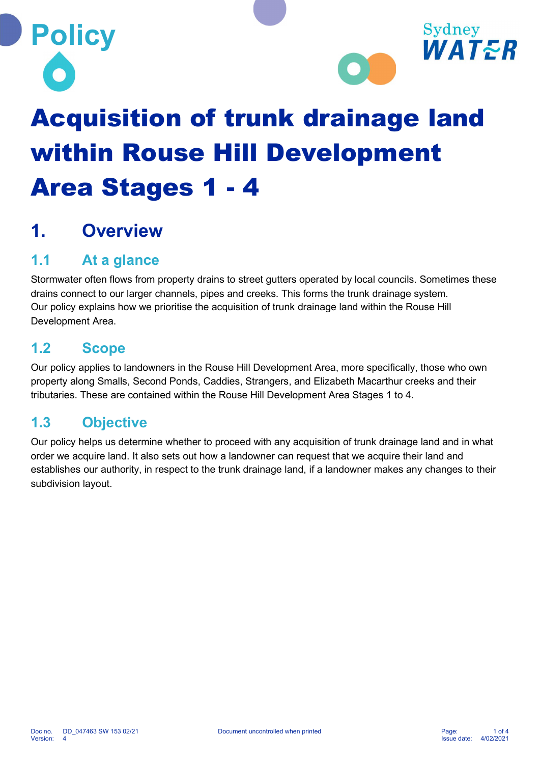**Policy** 



# Acquisition of trunk drainage land within Rouse Hill Development Area Stages 1 - 4

## 1. Overview

## 1.1 At a glance

Stormwater often flows from property drains to street gutters operated by local councils. Sometimes these drains connect to our larger channels, pipes and creeks. This forms the trunk drainage system. Our policy explains how we prioritise the acquisition of trunk drainage land within the Rouse Hill Development Area.

#### 1.2 Scope

Our policy applies to landowners in the Rouse Hill Development Area, more specifically, those who own property along Smalls, Second Ponds, Caddies, Strangers, and Elizabeth Macarthur creeks and their tributaries. These are contained within the Rouse Hill Development Area Stages 1 to 4.

#### 1.3 Objective

Our policy helps us determine whether to proceed with any acquisition of trunk drainage land and in what order we acquire land. It also sets out how a landowner can request that we acquire their land and establishes our authority, in respect to the trunk drainage land, if a landowner makes any changes to their subdivision layout.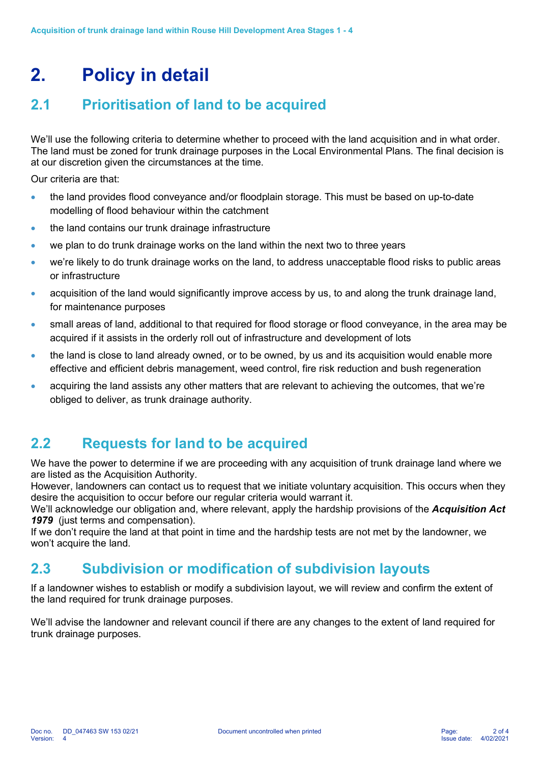# 2. Policy in detail

## 2.1 Prioritisation of land to be acquired

We'll use the following criteria to determine whether to proceed with the land acquisition and in what order. The land must be zoned for trunk drainage purposes in the Local Environmental Plans. The final decision is at our discretion given the circumstances at the time.

Our criteria are that:

- the land provides flood conveyance and/or floodplain storage. This must be based on up-to-date modelling of flood behaviour within the catchment
- the land contains our trunk drainage infrastructure
- we plan to do trunk drainage works on the land within the next two to three years
- we're likely to do trunk drainage works on the land, to address unacceptable flood risks to public areas or infrastructure
- acquisition of the land would significantly improve access by us, to and along the trunk drainage land, for maintenance purposes
- small areas of land, additional to that required for flood storage or flood conveyance, in the area may be acquired if it assists in the orderly roll out of infrastructure and development of lots
- the land is close to land already owned, or to be owned, by us and its acquisition would enable more effective and efficient debris management, weed control, fire risk reduction and bush regeneration
- acquiring the land assists any other matters that are relevant to achieving the outcomes, that we're obliged to deliver, as trunk drainage authority.

#### 2.2 Requests for land to be acquired

We have the power to determine if we are proceeding with any acquisition of trunk drainage land where we are listed as the Acquisition Authority.

However, landowners can contact us to request that we initiate voluntary acquisition. This occurs when they desire the acquisition to occur before our regular criteria would warrant it.

We'll acknowledge our obligation and, where relevant, apply the hardship provisions of the Acquisition Act 1979 (just terms and compensation).

If we don't require the land at that point in time and the hardship tests are not met by the landowner, we won't acquire the land.

### 2.3 Subdivision or modification of subdivision layouts

If a landowner wishes to establish or modify a subdivision layout, we will review and confirm the extent of the land required for trunk drainage purposes.

We'll advise the landowner and relevant council if there are any changes to the extent of land required for trunk drainage purposes.

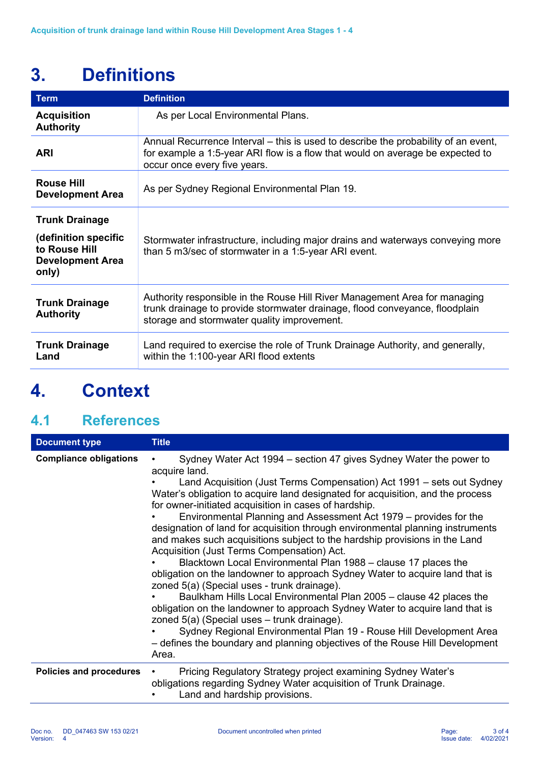# 3. Definitions

| <b>Term</b>                                                                                        | <b>Definition</b>                                                                                                                                                                                        |
|----------------------------------------------------------------------------------------------------|----------------------------------------------------------------------------------------------------------------------------------------------------------------------------------------------------------|
| <b>Acquisition</b><br><b>Authority</b>                                                             | As per Local Environmental Plans.                                                                                                                                                                        |
| <b>ARI</b>                                                                                         | Annual Recurrence Interval – this is used to describe the probability of an event,<br>for example a 1:5-year ARI flow is a flow that would on average be expected to<br>occur once every five years.     |
| <b>Rouse Hill</b><br><b>Development Area</b>                                                       | As per Sydney Regional Environmental Plan 19.                                                                                                                                                            |
| <b>Trunk Drainage</b><br>(definition specific<br>to Rouse Hill<br><b>Development Area</b><br>only) | Stormwater infrastructure, including major drains and waterways conveying more<br>than 5 m3/sec of stormwater in a 1:5-year ARI event.                                                                   |
| <b>Trunk Drainage</b><br><b>Authority</b>                                                          | Authority responsible in the Rouse Hill River Management Area for managing<br>trunk drainage to provide stormwater drainage, flood conveyance, floodplain<br>storage and stormwater quality improvement. |
| <b>Trunk Drainage</b><br>Land                                                                      | Land required to exercise the role of Trunk Drainage Authority, and generally,<br>within the 1:100-year ARI flood extents                                                                                |

# 4. Context

## 4.1 References

| <b>Document type</b>          | <b>Title</b>                                                                                                                                                                                                                                                                                                                                                                                                                                                                                                                                                                                                                                                                                                                                                                                                                                                                                                                                                                                                                                                                                                                                                      |
|-------------------------------|-------------------------------------------------------------------------------------------------------------------------------------------------------------------------------------------------------------------------------------------------------------------------------------------------------------------------------------------------------------------------------------------------------------------------------------------------------------------------------------------------------------------------------------------------------------------------------------------------------------------------------------------------------------------------------------------------------------------------------------------------------------------------------------------------------------------------------------------------------------------------------------------------------------------------------------------------------------------------------------------------------------------------------------------------------------------------------------------------------------------------------------------------------------------|
| <b>Compliance obligations</b> | Sydney Water Act 1994 – section 47 gives Sydney Water the power to<br>acquire land.<br>Land Acquisition (Just Terms Compensation) Act 1991 – sets out Sydney<br>Water's obligation to acquire land designated for acquisition, and the process<br>for owner-initiated acquisition in cases of hardship.<br>Environmental Planning and Assessment Act 1979 – provides for the<br>designation of land for acquisition through environmental planning instruments<br>and makes such acquisitions subject to the hardship provisions in the Land<br>Acquisition (Just Terms Compensation) Act.<br>Blacktown Local Environmental Plan 1988 – clause 17 places the<br>obligation on the landowner to approach Sydney Water to acquire land that is<br>zoned 5(a) (Special uses - trunk drainage).<br>Baulkham Hills Local Environmental Plan 2005 – clause 42 places the<br>obligation on the landowner to approach Sydney Water to acquire land that is<br>zoned 5(a) (Special uses - trunk drainage).<br>Sydney Regional Environmental Plan 19 - Rouse Hill Development Area<br>- defines the boundary and planning objectives of the Rouse Hill Development<br>Area. |
| Policies and procedures       | Pricing Regulatory Strategy project examining Sydney Water's<br>obligations regarding Sydney Water acquisition of Trunk Drainage.<br>Land and hardship provisions.                                                                                                                                                                                                                                                                                                                                                                                                                                                                                                                                                                                                                                                                                                                                                                                                                                                                                                                                                                                                |